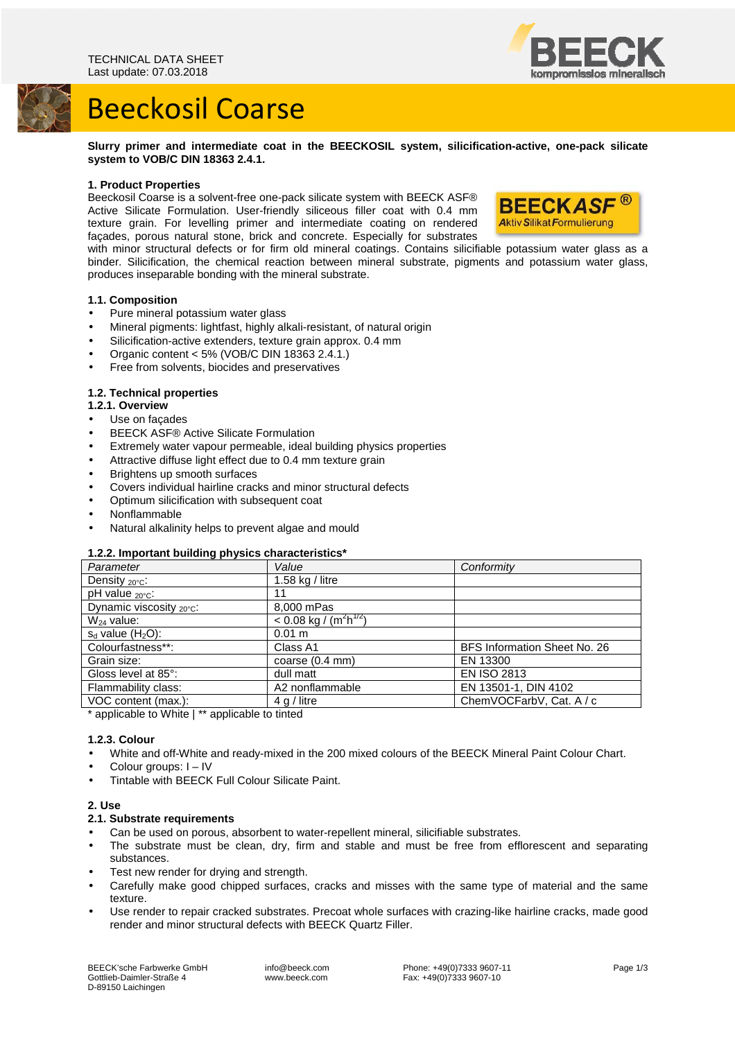

## Beeckosil Coarse

**Slurry primer and intermediate coat in the BEECKOSIL system, silicification-active, one-pack silicate system to VOB/C DIN 18363 2.4.1.** 

## **1. Product Properties**

Beeckosil Coarse is a solvent-free one-pack silicate system with BEECK ASF® Active Silicate Formulation. User-friendly siliceous filler coat with 0.4 mm texture grain. For levelling primer and intermediate coating on rendered façades, porous natural stone, brick and concrete. Especially for substrates



with minor structural defects or for firm old mineral coatings. Contains silicifiable potassium water glass as a binder. Silicification, the chemical reaction between mineral substrate, pigments and potassium water glass, produces inseparable bonding with the mineral substrate.

## **1.1. Composition**

- Pure mineral potassium water glass
- Mineral pigments: lightfast, highly alkali-resistant, of natural origin
- Silicification-active extenders, texture grain approx. 0.4 mm
- Organic content < 5% (VOB/C DIN  $183632.4.1$ .)
- Free from solvents, biocides and preservatives

## **1.2. Technical properties**

- **1.2.1. Overview**
- Use on facades
- BEECK ASF® Active Silicate Formulation
- Extremely water vapour permeable, ideal building physics properties
- Attractive diffuse light effect due to 0.4 mm texture grain
- Brightens up smooth surfaces
- Covers individual hairline cracks and minor structural defects
- Optimum silicification with subsequent coat
- Nonflammable
- Natural alkalinity helps to prevent algae and mould

## **1.2.2. Important building physics characteristics\***

| Parameter                  | Value                                            | Conformity                   |
|----------------------------|--------------------------------------------------|------------------------------|
| Density $_{20^{\circ}C}$ : | 1.58 $kg /$ litre                                |                              |
| pH value <sub>20°C</sub> : | 11                                               |                              |
| Dynamic viscosity 20°C:    | 8,000 mPas                                       |                              |
| $W_{24}$ value:            | $< 0.08$ kg / (m <sup>2</sup> h <sup>1/2</sup> ) |                              |
| $s_d$ value $(H_2O)$ :     | 0.01 m                                           |                              |
| Colourfastness**:          | Class A1                                         | BFS Information Sheet No. 26 |
| Grain size:                | coarse $(0.4 \text{ mm})$                        | EN 13300                     |
| Gloss level at 85°:        | dull matt                                        | <b>EN ISO 2813</b>           |
| Flammability class:        | A2 nonflammable                                  | EN 13501-1, DIN 4102         |
| VOC content (max.):        | $4$ q / litre                                    | ChemVOCFarbV, Cat. A / c     |
|                            |                                                  |                              |

\* applicable to White | \*\* applicable to tinted

### **1.2.3. Colour**

- White and off-White and ready-mixed in the 200 mixed colours of the BEECK Mineral Paint Colour Chart.
- Colour groups: I IV
- Tintable with BEECK Full Colour Silicate Paint.

## **2. Use**

### **2.1. Substrate requirements**

- Can be used on porous, absorbent to water-repellent mineral, silicifiable substrates.
- The substrate must be clean, dry, firm and stable and must be free from efflorescent and separating substances.
- Test new render for drying and strength.
- Carefully make good chipped surfaces, cracks and misses with the same type of material and the same texture.
- Use render to repair cracked substrates. Precoat whole surfaces with crazing-like hairline cracks, made good render and minor structural defects with BEECK Quartz Filler.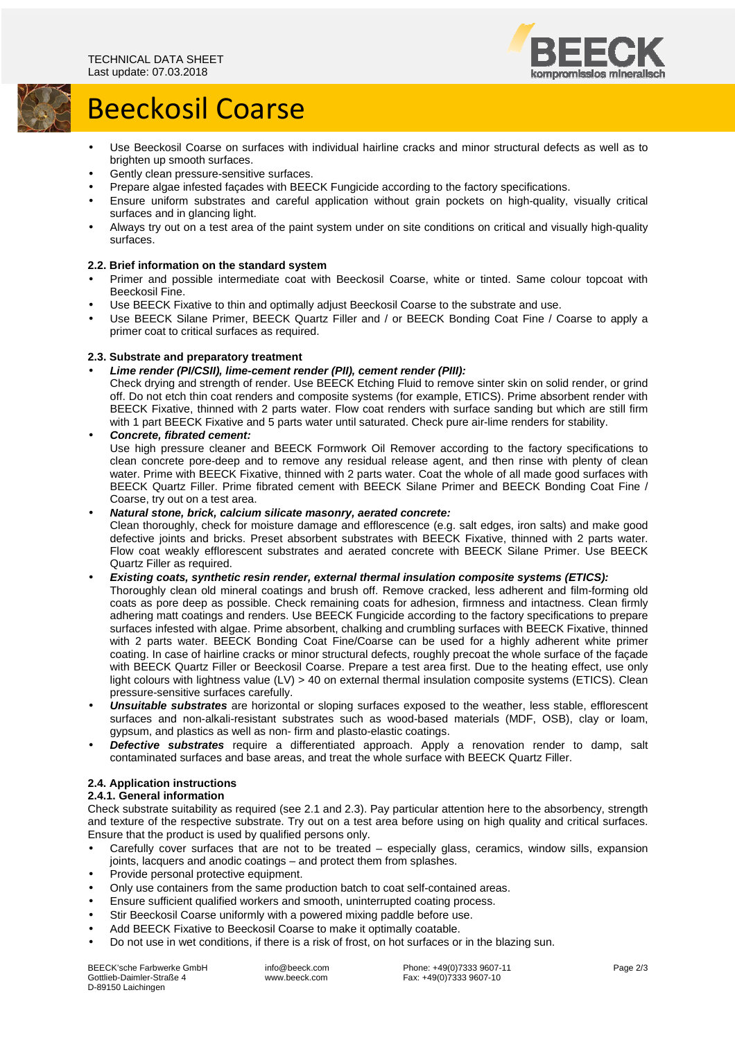

# Beeckosil Coarse

- Use Beeckosil Coarse on surfaces with individual hairline cracks and minor structural defects as well as to brighten up smooth surfaces.
- Gently clean pressure-sensitive surfaces.
- Prepare algae infested façades with BEECK Fungicide according to the factory specifications.
- Ensure uniform substrates and careful application without grain pockets on high-quality, visually critical surfaces and in glancing light.
- Always try out on a test area of the paint system under on site conditions on critical and visually high-quality surfaces.

## **2.2. Brief information on the standard system**

- Primer and possible intermediate coat with Beeckosil Coarse, white or tinted. Same colour topcoat with Beeckosil Fine.
- Use BEECK Fixative to thin and optimally adjust Beeckosil Coarse to the substrate and use.
- Use BEECK Silane Primer, BEECK Quartz Filler and / or BEECK Bonding Coat Fine / Coarse to apply a primer coat to critical surfaces as required.

## **2.3. Substrate and preparatory treatment**

• **Lime render (PI/CSII), lime-cement render (PII), cement render (PIII):** 

Check drying and strength of render. Use BEECK Etching Fluid to remove sinter skin on solid render, or grind off. Do not etch thin coat renders and composite systems (for example, ETICS). Prime absorbent render with BEECK Fixative, thinned with 2 parts water. Flow coat renders with surface sanding but which are still firm with 1 part BEECK Fixative and 5 parts water until saturated. Check pure air-lime renders for stability.

• **Concrete, fibrated cement:**  Use high pressure cleaner and BEECK Formwork Oil Remover according to the factory specifications to clean concrete pore-deep and to remove any residual release agent, and then rinse with plenty of clean water. Prime with BEECK Fixative, thinned with 2 parts water. Coat the whole of all made good surfaces with BEECK Quartz Filler. Prime fibrated cement with BEECK Silane Primer and BEECK Bonding Coat Fine / Coarse, try out on a test area.

## • **Natural stone, brick, calcium silicate masonry, aerated concrete:**

Clean thoroughly, check for moisture damage and efflorescence (e.g. salt edges, iron salts) and make good defective joints and bricks. Preset absorbent substrates with BEECK Fixative, thinned with 2 parts water. Flow coat weakly efflorescent substrates and aerated concrete with BEECK Silane Primer. Use BEECK Quartz Filler as required.

• **Existing coats, synthetic resin render, external thermal insulation composite systems (ETICS):** 

- Thoroughly clean old mineral coatings and brush off. Remove cracked, less adherent and film-forming old coats as pore deep as possible. Check remaining coats for adhesion, firmness and intactness. Clean firmly adhering matt coatings and renders. Use BEECK Fungicide according to the factory specifications to prepare surfaces infested with algae. Prime absorbent, chalking and crumbling surfaces with BEECK Fixative, thinned with 2 parts water. BEECK Bonding Coat Fine/Coarse can be used for a highly adherent white primer coating. In case of hairline cracks or minor structural defects, roughly precoat the whole surface of the façade with BEECK Quartz Filler or Beeckosil Coarse. Prepare a test area first. Due to the heating effect, use only light colours with lightness value (LV) > 40 on external thermal insulation composite systems (ETICS). Clean pressure-sensitive surfaces carefully.
- **Unsuitable substrates** are horizontal or sloping surfaces exposed to the weather, less stable, efflorescent surfaces and non-alkali-resistant substrates such as wood-based materials (MDF, OSB), clay or loam, gypsum, and plastics as well as non- firm and plasto-elastic coatings.
- **Defective substrates** require a differentiated approach. Apply a renovation render to damp, salt contaminated surfaces and base areas, and treat the whole surface with BEECK Quartz Filler.

## **2.4. Application instructions**

## **2.4.1. General information**

Check substrate suitability as required (see 2.1 and 2.3). Pay particular attention here to the absorbency, strength and texture of the respective substrate. Try out on a test area before using on high quality and critical surfaces. Ensure that the product is used by qualified persons only.

- Carefully cover surfaces that are not to be treated especially glass, ceramics, window sills, expansion joints, lacquers and anodic coatings – and protect them from splashes.
- Provide personal protective equipment.
- Only use containers from the same production batch to coat self-contained areas.
- Ensure sufficient qualified workers and smooth, uninterrupted coating process.
- Stir Beeckosil Coarse uniformly with a powered mixing paddle before use.
- Add BEECK Fixative to Beeckosil Coarse to make it optimally coatable.
- Do not use in wet conditions, if there is a risk of frost, on hot surfaces or in the blazing sun.

BEECK'sche Farbwerke GmbH Gottlieb-Daimler-Straße 4 D-89150 Laichingen

 info@beeck.com www.beeck.com

 Phone: +49(0)7333 9607-11 Fax: +49(0)7333 9607-10